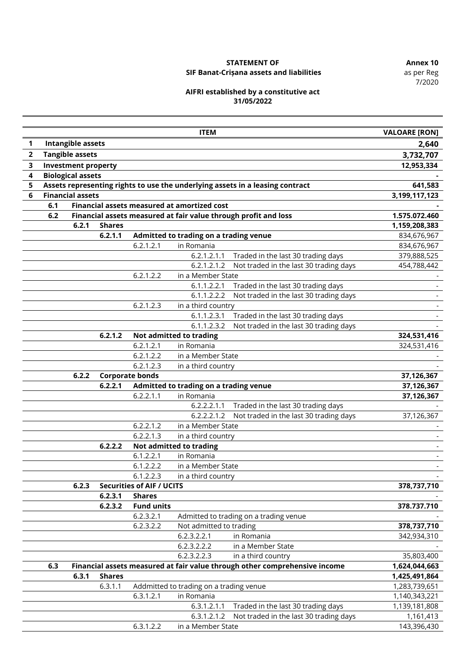7/2020

# **STATEMENT OF Annex 10**

# **SIF Banat-Crișana assets and liabilities**

#### **AIFRI established by a constitutive act 31/05/2022**

|                |                                                                                                          |                            |               |                                  | <b>ITEM</b>                                 |                                                                            | <b>VALOARE [RON]</b> |
|----------------|----------------------------------------------------------------------------------------------------------|----------------------------|---------------|----------------------------------|---------------------------------------------|----------------------------------------------------------------------------|----------------------|
| 1              |                                                                                                          | <b>Intangible assets</b>   |               |                                  |                                             |                                                                            | 2,640                |
| $\overline{2}$ |                                                                                                          | <b>Tangible assets</b>     |               |                                  |                                             |                                                                            | 3,732,707            |
| 3              |                                                                                                          | <b>Investment property</b> |               |                                  |                                             |                                                                            | 12,953,334           |
| 4              | <b>Biological assets</b>                                                                                 |                            |               |                                  |                                             |                                                                            |                      |
| 5              |                                                                                                          |                            |               |                                  |                                             |                                                                            | 641,583              |
| 6              | Assets representing rights to use the underlying assets in a leasing contract<br><b>Financial assets</b> |                            |               |                                  |                                             |                                                                            | 3,199,117,123        |
|                | 6.1                                                                                                      |                            |               |                                  | Financial assets measured at amortized cost |                                                                            |                      |
|                | 6.2                                                                                                      |                            |               |                                  |                                             | Financial assets measured at fair value through profit and loss            | 1.575.072.460        |
|                |                                                                                                          | 6.2.1                      | <b>Shares</b> |                                  |                                             |                                                                            | 1,159,208,383        |
|                |                                                                                                          |                            | 6.2.1.1       |                                  | Admitted to trading on a trading venue      |                                                                            | 834,676,967          |
|                |                                                                                                          |                            |               | 6.2.1.2.1                        | in Romania                                  |                                                                            | 834,676,967          |
|                |                                                                                                          |                            |               |                                  | 6.2.1.2.1.1                                 | Traded in the last 30 trading days                                         | 379,888,525          |
|                |                                                                                                          |                            |               |                                  | 6.2.1.2.1.2                                 | Not traded in the last 30 trading days                                     | 454,788,442          |
|                |                                                                                                          |                            |               | 6.2.1.2.2                        | in a Member State                           |                                                                            |                      |
|                |                                                                                                          |                            |               |                                  | 6.1.1.2.2.1                                 | Traded in the last 30 trading days                                         |                      |
|                |                                                                                                          |                            |               |                                  | 6.1.1.2.2.2                                 | Not traded in the last 30 trading days                                     |                      |
|                |                                                                                                          |                            |               | 6.2.1.2.3                        | in a third country                          |                                                                            |                      |
|                |                                                                                                          |                            |               |                                  | 6.1.1.2.3.1                                 | Traded in the last 30 trading days                                         |                      |
|                |                                                                                                          |                            |               |                                  | 6.1.1.2.3.2                                 | Not traded in the last 30 trading days                                     |                      |
|                |                                                                                                          |                            | 6.2.1.2       |                                  | Not admitted to trading                     |                                                                            | 324,531,416          |
|                |                                                                                                          |                            |               | 6.2.1.2.1                        | in Romania                                  |                                                                            | 324,531,416          |
|                |                                                                                                          |                            |               | 6.2.1.2.2                        | in a Member State                           |                                                                            |                      |
|                |                                                                                                          |                            |               | 6.2.1.2.3                        | in a third country                          |                                                                            |                      |
|                |                                                                                                          | 6.2.2                      |               | <b>Corporate bonds</b>           |                                             |                                                                            | 37,126,367           |
|                |                                                                                                          |                            | 6.2.2.1       |                                  | Admitted to trading on a trading venue      |                                                                            | 37, 126, 367         |
|                |                                                                                                          |                            |               | 6.2.2.1.1                        | in Romania                                  |                                                                            | 37,126,367           |
|                |                                                                                                          |                            |               |                                  | 6.2.2.2.1.1                                 | Traded in the last 30 trading days                                         |                      |
|                |                                                                                                          |                            |               |                                  | 6.2.2.2.1.2                                 | Not traded in the last 30 trading days                                     | 37,126,367           |
|                |                                                                                                          |                            |               | 6.2.2.1.2                        | in a Member State                           |                                                                            |                      |
|                |                                                                                                          |                            |               | 6.2.2.1.3                        | in a third country                          |                                                                            |                      |
|                |                                                                                                          |                            | 6.2.2.2       |                                  | Not admitted to trading                     |                                                                            |                      |
|                |                                                                                                          |                            |               | 6.1.2.2.1                        | in Romania                                  |                                                                            |                      |
|                |                                                                                                          |                            |               | 6.1.2.2.2                        | in a Member State                           |                                                                            |                      |
|                |                                                                                                          |                            |               | 6.1.2.2.3                        | in a third country                          |                                                                            |                      |
|                | 6.2.3                                                                                                    |                            |               | <b>Securities of AIF / UCITS</b> |                                             |                                                                            | 378,737,710          |
|                |                                                                                                          |                            | 6.2.3.1       | <b>Shares</b>                    |                                             |                                                                            |                      |
|                |                                                                                                          |                            | 6.2.3.2       | <b>Fund units</b>                |                                             |                                                                            | 378.737.710          |
|                |                                                                                                          |                            |               | 6.2.3.2.1                        |                                             | Admitted to trading on a trading venue                                     |                      |
|                |                                                                                                          |                            |               | 6.2.3.2.2                        | Not admitted to trading                     |                                                                            | 378,737,710          |
|                |                                                                                                          |                            |               |                                  | 6.2.3.2.2.1                                 | in Romania                                                                 | 342,934,310          |
|                |                                                                                                          |                            |               |                                  | 6.2.3.2.2.2                                 | in a Member State                                                          |                      |
|                |                                                                                                          |                            |               |                                  | 6.2.3.2.2.3                                 | in a third country                                                         | 35,803,400           |
|                | 6.3                                                                                                      |                            |               |                                  |                                             | Financial assets measured at fair value through other comprehensive income | 1,624,044,663        |
|                |                                                                                                          | 6.3.1                      | <b>Shares</b> |                                  |                                             |                                                                            | 1,425,491,864        |
|                |                                                                                                          |                            | 6.3.1.1       |                                  | Addmitted to trading on a trading venue     |                                                                            | 1,283,739,651        |
|                |                                                                                                          |                            |               | 6.3.1.2.1                        | in Romania                                  |                                                                            | 1,140,343,221        |
|                |                                                                                                          |                            |               |                                  | 6.3.1.2.1.1                                 | Traded in the last 30 trading days                                         | 1,139,181,808        |
|                |                                                                                                          |                            |               |                                  | 6.3.1.2.1.2                                 | Not traded in the last 30 trading days                                     | 1,161,413            |
|                |                                                                                                          |                            |               | 6.3.1.2.2                        | in a Member State                           |                                                                            | 143,396,430          |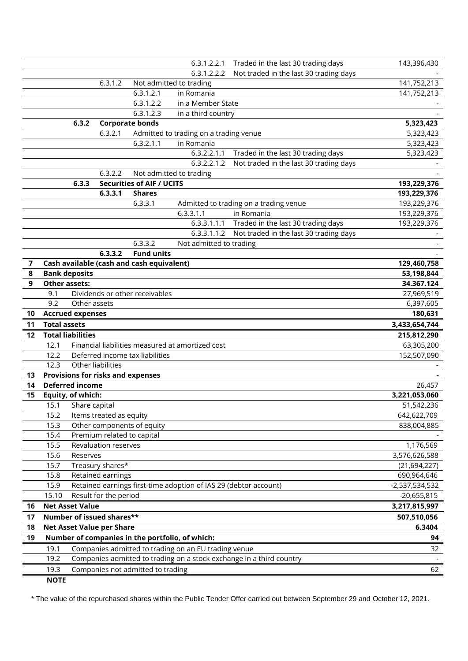|                |                                           |                            |                                   | 6.3.1.2.2.1                                                      | Traded in the last 30 trading days                                   | 143,396,430    |
|----------------|-------------------------------------------|----------------------------|-----------------------------------|------------------------------------------------------------------|----------------------------------------------------------------------|----------------|
|                |                                           |                            |                                   | 6.3.1.2.2.2                                                      | Not traded in the last 30 trading days                               |                |
|                |                                           | 6.3.1.2                    |                                   | Not admitted to trading                                          |                                                                      | 141,752,213    |
|                |                                           |                            | 6.3.1.2.1                         | in Romania                                                       |                                                                      | 141,752,213    |
|                |                                           |                            | 6.3.1.2.2                         | in a Member State                                                |                                                                      |                |
|                |                                           |                            | 6.3.1.2.3                         | in a third country                                               |                                                                      |                |
|                | 6.3.2                                     |                            | <b>Corporate bonds</b>            |                                                                  |                                                                      | 5,323,423      |
|                |                                           | 6.3.2.1                    |                                   | Admitted to trading on a trading venue                           |                                                                      | 5,323,423      |
|                |                                           |                            | 6.3.2.1.1                         | in Romania                                                       |                                                                      | 5,323,423      |
|                |                                           |                            |                                   | 6.3.2.2.1.1                                                      | Traded in the last 30 trading days                                   | 5,323,423      |
|                |                                           |                            |                                   | 6.3.2.2.1.2                                                      | Not traded in the last 30 trading days                               |                |
|                |                                           | 6.3.2.2                    |                                   | Not admitted to trading                                          |                                                                      |                |
|                | 6.3.3                                     |                            | <b>Securities of AIF / UCITS</b>  |                                                                  |                                                                      | 193,229,376    |
|                |                                           | 6.3.3.1                    | <b>Shares</b>                     |                                                                  |                                                                      | 193,229,376    |
|                |                                           |                            | 6.3.3.1                           |                                                                  | Admitted to trading on a trading venue                               | 193,229,376    |
|                |                                           |                            |                                   | 6.3.3.1.1                                                        | in Romania                                                           | 193,229,376    |
|                |                                           |                            |                                   |                                                                  | 6.3.3.1.1.1 Traded in the last 30 trading days                       | 193,229,376    |
|                |                                           |                            |                                   | 6.3.3.1.1.2                                                      | Not traded in the last 30 trading days                               |                |
|                |                                           |                            | 6.3.3.2                           | Not admitted to trading                                          |                                                                      |                |
|                |                                           | 6.3.3.2                    | <b>Fund units</b>                 |                                                                  |                                                                      |                |
| $\overline{7}$ | Cash available (cash and cash equivalent) |                            |                                   |                                                                  |                                                                      | 129,460,758    |
| 8              | <b>Bank deposits</b>                      |                            |                                   |                                                                  |                                                                      | 53,198,844     |
| 9              | <b>Other assets:</b>                      |                            |                                   |                                                                  |                                                                      | 34.367.124     |
|                | 9.1                                       |                            | Dividends or other receivables    |                                                                  |                                                                      | 27,969,519     |
|                | 9.2                                       | Other assets               |                                   |                                                                  |                                                                      | 6,397,605      |
| 10             | <b>Accrued expenses</b>                   |                            |                                   |                                                                  |                                                                      | 180,631        |
|                | <b>Total assets</b>                       |                            |                                   |                                                                  |                                                                      |                |
| 11             |                                           |                            |                                   |                                                                  |                                                                      | 3,433,654,744  |
| 12             | <b>Total liabilities</b>                  |                            |                                   |                                                                  |                                                                      | 215,812,290    |
|                | 12.1                                      |                            |                                   | Financial liabilities measured at amortized cost                 |                                                                      | 63,305,200     |
|                | 12.2                                      |                            | Deferred income tax liabilities   |                                                                  |                                                                      | 152,507,090    |
|                | 12.3                                      | Other liabilities          |                                   |                                                                  |                                                                      |                |
| 13             | Provisions for risks and expenses         |                            |                                   |                                                                  |                                                                      |                |
| 14             | <b>Deferred income</b>                    |                            |                                   |                                                                  |                                                                      | 26,457         |
| 15             | Equity, of which:                         |                            |                                   |                                                                  |                                                                      | 3,221,053,060  |
|                | 15.1 Share capital                        |                            |                                   |                                                                  |                                                                      | 51,542,236     |
|                | 15.2                                      | Items treated as equity    |                                   |                                                                  |                                                                      | 642,622,709    |
|                | 15.3                                      |                            | Other components of equity        |                                                                  |                                                                      | 838,004,885    |
|                | 15.4                                      | Premium related to capital |                                   |                                                                  |                                                                      |                |
|                | 15.5                                      | Revaluation reserves       |                                   |                                                                  |                                                                      | 1,176,569      |
|                | 15.6<br>Reserves                          |                            |                                   |                                                                  |                                                                      | 3,576,626,588  |
|                | 15.7                                      | Treasury shares*           |                                   |                                                                  |                                                                      | (21, 694, 227) |
|                | 15.8                                      | Retained earnings          |                                   |                                                                  |                                                                      | 690,964,646    |
|                | 15.9                                      |                            |                                   | Retained earnings first-time adoption of IAS 29 (debtor account) |                                                                      | -2,537,534,532 |
|                | 15.10                                     | Result for the period      |                                   |                                                                  |                                                                      | $-20,655,815$  |
| 16             | <b>Net Asset Value</b>                    |                            |                                   |                                                                  |                                                                      | 3,217,815,997  |
| 17             | Number of issued shares**                 |                            |                                   |                                                                  |                                                                      | 507,510,056    |
| 18             | <b>Net Asset Value per Share</b>          |                            |                                   |                                                                  |                                                                      | 6.3404         |
| 19             |                                           |                            |                                   | Number of companies in the portfolio, of which:                  |                                                                      | 94             |
|                | 19.1                                      |                            |                                   | Companies admitted to trading on an EU trading venue             |                                                                      | 32             |
|                | 19.2                                      |                            |                                   |                                                                  | Companies admitted to trading on a stock exchange in a third country |                |
|                | 19.3                                      |                            | Companies not admitted to trading |                                                                  |                                                                      | 62             |

\* The value of the repurchased shares within the Public Tender Offer carried out between September 29 and October 12, 2021.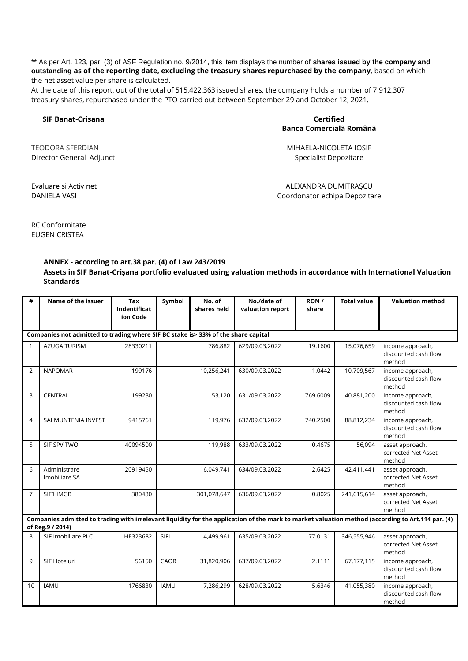\*\* As per Art. 123, par. (3) of ASF Regulation no. 9/2014, this item displays the number of **shares issued by the company and outstanding as of the reporting date, excluding the treasury shares repurchased by the company**, based on which the net asset value per share is calculated.

At the date of this report, out of the total of 515,422,363 issued shares, the company holds a number of 7,912,307 treasury shares, repurchased under the PTO carried out between September 29 and October 12, 2021.

#### **SIF Banat-Crisana Certified**

# **Banca Comercialã Românã**

Director General Adjunct **Specialist Depozitare** Specialist Depozitare

TEODORA SFERDIAN MIHAELA-NICOLETA IOSIF

Evaluare si Activ net ALEXANDRA DUMITRAŞCU DANIELA VASI Coordonator echipa Depozitare

RC Conformitate EUGEN CRISTEA

#### **ANNEX - according to art.38 par. (4) of Law 243/2019**

**Assets in SIF Banat-Crișana portfolio evaluated using valuation methods in accordance with International Valuation Standards**

| #            | Name of the issuer                                                                                                                                                     | Tax<br>Indentificat<br>ion Code | Symbol      | No. of<br>shares held | No./date of<br>valuation report | RON/<br>share | <b>Total value</b> | <b>Valuation method</b>                            |  |
|--------------|------------------------------------------------------------------------------------------------------------------------------------------------------------------------|---------------------------------|-------------|-----------------------|---------------------------------|---------------|--------------------|----------------------------------------------------|--|
|              | Companies not admitted to trading where SIF BC stake is> 33% of the share capital                                                                                      |                                 |             |                       |                                 |               |                    |                                                    |  |
| $\mathbf{1}$ | <b>AZUGA TURISM</b>                                                                                                                                                    | 28330211                        |             | 786,882               | 629/09.03.2022                  | 19.1600       | 15,076,659         | income approach,<br>discounted cash flow<br>method |  |
| 2            | <b>NAPOMAR</b>                                                                                                                                                         | 199176                          |             | 10,256,241            | 630/09.03.2022                  | 1.0442        | 10,709,567         | income approach,<br>discounted cash flow<br>method |  |
| 3            | <b>CENTRAL</b>                                                                                                                                                         | 199230                          |             | 53,120                | 631/09.03.2022                  | 769.6009      | 40,881,200         | income approach,<br>discounted cash flow<br>method |  |
| 4            | SAI MUNTENIA INVEST                                                                                                                                                    | 9415761                         |             | 119,976               | 632/09.03.2022                  | 740.2500      | 88,812,234         | income approach,<br>discounted cash flow<br>method |  |
| 5            | SIF SPV TWO                                                                                                                                                            | 40094500                        |             | 119,988               | 633/09.03.2022                  | 0.4675        | 56,094             | asset approach,<br>corrected Net Asset<br>method   |  |
| 6            | Administrare<br>Imobiliare SA                                                                                                                                          | 20919450                        |             | 16,049,741            | 634/09.03.2022                  | 2.6425        | 42,411,441         | asset approach,<br>corrected Net Asset<br>method   |  |
| 7            | SIF1 IMGB                                                                                                                                                              | 380430                          |             | 301,078,647           | 636/09.03.2022                  | 0.8025        | 241,615,614        | asset approach,<br>corrected Net Asset<br>method   |  |
|              | Companies admitted to trading with irrelevant liquidity for the application of the mark to market valuation method (according to Art.114 par. (4)<br>of Reg. 9 / 2014) |                                 |             |                       |                                 |               |                    |                                                    |  |
| $\mathsf{R}$ | SIF Imobiliare PLC                                                                                                                                                     | HE323682                        | SIFI        | 4,499,961             | 635/09.03.2022                  | 77.0131       | 346,555,946        | asset approach,<br>corrected Net Asset<br>method   |  |
| $\mathbf{q}$ | SIF Hoteluri                                                                                                                                                           | 56150                           | CAOR        | 31,820,906            | 637/09.03.2022                  | 2.1111        | 67,177,115         | income approach,<br>discounted cash flow<br>method |  |
| 10           | <b>IAMU</b>                                                                                                                                                            | 1766830                         | <b>IAMU</b> | 7,286,299             | 628/09.03.2022                  | 5.6346        | 41,055,380         | income approach,<br>discounted cash flow<br>method |  |